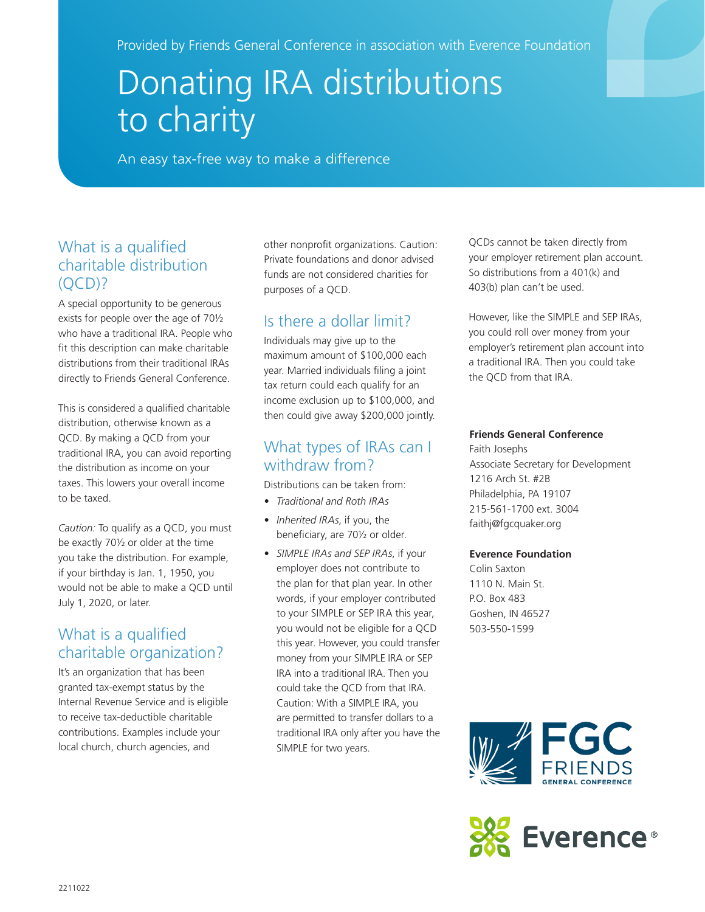Provided by Friends General Conference in association with Everence Foundation

# Donating IRA distributions to charity

An easy tax-free way to make a difference

#### What is a qualified charitable distribution  $(OCD)?$

A special opportunity to be generous exists for people over the age of 70½ who have a traditional IRA. People who fit this description can make charitable distributions from their traditional IRAs directly to Friends General Conference.

This is considered a qualified charitable distribution, otherwise known as a QCD. By making a QCD from your traditional IRA, you can avoid reporting the distribution as income on your taxes. This lowers your overall income to be taxed.

*Caution:* To qualify as a QCD, you must be exactly 70½ or older at the time you take the distribution. For example, if your birthday is Jan. 1, 1950, you would not be able to make a QCD until July 1, 2020, or later.

### What is a qualified charitable organization?

It's an organization that has been granted tax-exempt status by the Internal Revenue Service and is eligible to receive tax-deductible charitable contributions. Examples include your local church, church agencies, and

other nonprofit organizations. Caution: Private foundations and donor advised funds are not considered charities for purposes of a QCD.

## Is there a dollar limit?

Individuals may give up to the maximum amount of \$100,000 each year. Married individuals filing a joint tax return could each qualify for an income exclusion up to \$100,000, and then could give away \$200,000 jointly.

#### What types of IRAs can I withdraw from?

Distributions can be taken from:

- *• Traditional and Roth IRAs*
- *• Inherited IRAs*, if you, the beneficiary, are 70½ or older.
- *• SIMPLE IRAs and SEP IRAs*, if your employer does not contribute to the plan for that plan year. In other words, if your employer contributed to your SIMPLE or SEP IRA this year, you would not be eligible for a QCD this year. However, you could transfer money from your SIMPLE IRA or SEP IRA into a traditional IRA. Then you could take the QCD from that IRA. Caution: With a SIMPLE IRA, you are permitted to transfer dollars to a traditional IRA only after you have the SIMPLE for two years.

QCDs cannot be taken directly from your employer retirement plan account. So distributions from a 401(k) and 403(b) plan can't be used.

However, like the SIMPLE and SEP IRAs, you could roll over money from your employer's retirement plan account into a traditional IRA. Then you could take the QCD from that IRA.

#### **Friends General Conference**

Faith Josephs Associate Secretary for Development 1216 Arch St. #2B Philadelphia, PA 19107 215-561-1700 ext. 3004 faithj@fgcquaker.org

#### **Everence Foundation**

Colin Saxton 1110 N. Main St. P.O. Box 483 Goshen, IN 46527 503-550-1599